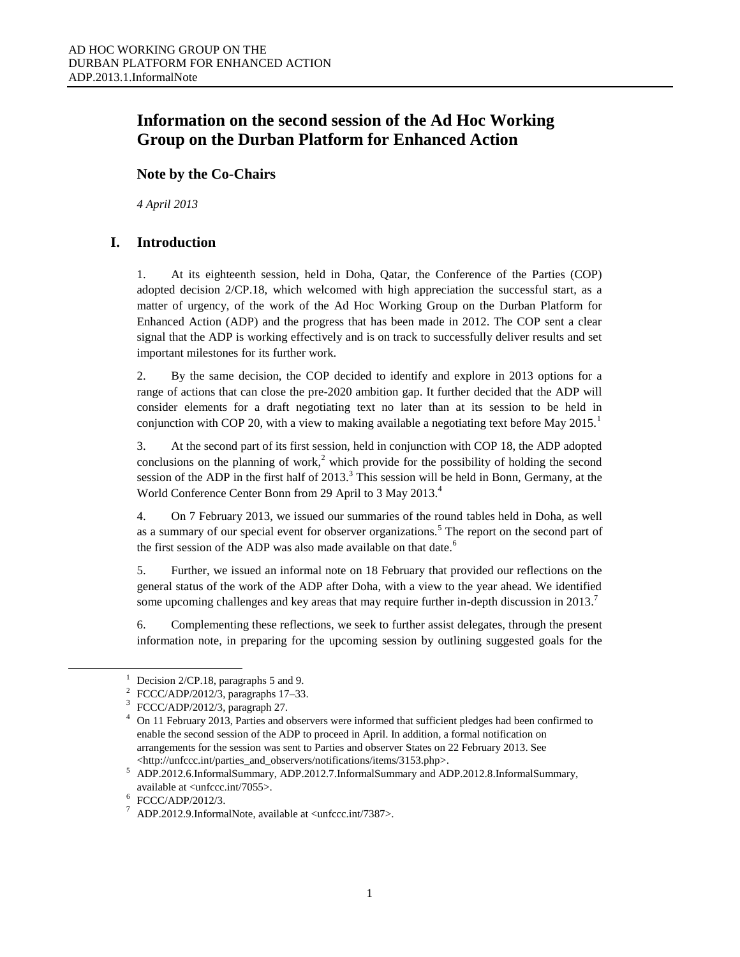# **Information on the second session of the Ad Hoc Working Group on the Durban Platform for Enhanced Action**

### **Note by the Co-Chairs**

*4 April 2013*

## **I. Introduction**

1. At its eighteenth session, held in Doha, Qatar, the Conference of the Parties (COP) adopted decision 2/CP.18, which welcomed with high appreciation the successful start, as a matter of urgency, of the work of the Ad Hoc Working Group on the Durban Platform for Enhanced Action (ADP) and the progress that has been made in 2012. The COP sent a clear signal that the ADP is working effectively and is on track to successfully deliver results and set important milestones for its further work.

2. By the same decision, the COP decided to identify and explore in 2013 options for a range of actions that can close the pre-2020 ambition gap. It further decided that the ADP will consider elements for a draft negotiating text no later than at its session to be held in conjunction with COP 20, with a view to making available a negotiating text before May 2015.<sup>1</sup>

3. At the second part of its first session, held in conjunction with COP 18, the ADP adopted conclusions on the planning of work,<sup>2</sup> which provide for the possibility of holding the second session of the ADP in the first half of  $2013<sup>3</sup>$ . This session will be held in Bonn, Germany, at the World Conference Center Bonn from 29 April to 3 May 2013.<sup>4</sup>

4. On 7 February 2013, we issued our summaries of the round tables held in Doha, as well as a summary of our special event for observer organizations.<sup>5</sup> The report on the second part of the first session of the ADP was also made available on that date.<sup>6</sup>

5. Further, we issued an informal note on 18 February that provided our reflections on the general status of the work of the ADP after Doha, with a view to the year ahead. We identified some upcoming challenges and key areas that may require further in-depth discussion in 2013.<sup>7</sup>

6. Complementing these reflections, we seek to further assist delegates, through the present information note, in preparing for the upcoming session by outlining suggested goals for the

 $\overline{a}$ 

<sup>&</sup>lt;sup>1</sup> Decision 2/CP.18, paragraphs 5 and 9.

<sup>2</sup> FCCC/ADP/2012/3, paragraphs 17–33.

<sup>3</sup> FCCC/ADP/2012/3, paragraph 27.

<sup>4</sup> On 11 February 2013, Parties and observers were informed that sufficient pledges had been confirmed to enable the second session of the ADP to proceed in April. In addition, a formal notification on arrangements for the session was sent to Parties and observer States on 22 February 2013. See <http://unfccc.int/parties\_and\_observers/notifications/items/3153.php>.

<sup>5</sup> [ADP.2012.6.InformalSummary, ADP.2012.7.InformalSummary](http://unfccc.int/documentation/documents/advanced_search/items/3594.php?rec=j&priref=600007308#beg) and [ADP.2012.8.InformalSummary,](http://unfccc.int/documentation/documents/advanced_search/items/3594.php?rec=j&priref=600007308#beg)  available at <unfccc.int/7055>.

<sup>6</sup> FCCC/ADP/2012/3.

ADP.2012.9.InformalNote, available at <unfccc.int/7387>.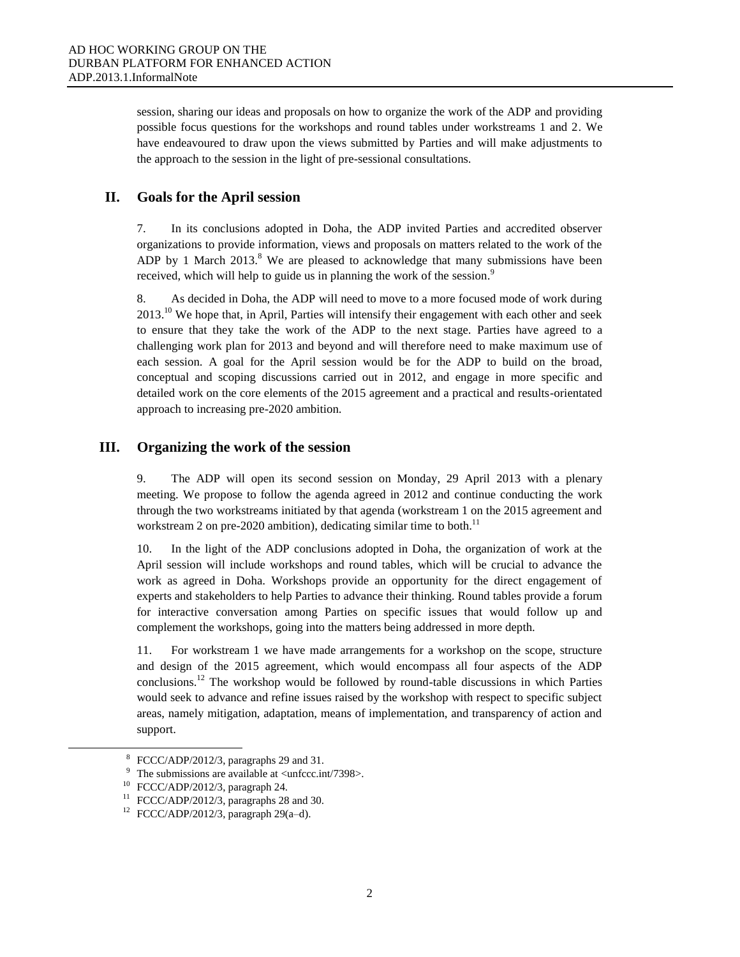session, sharing our ideas and proposals on how to organize the work of the ADP and providing possible focus questions for the workshops and round tables under workstreams 1 and 2. We have endeavoured to draw upon the views submitted by Parties and will make adjustments to the approach to the session in the light of pre-sessional consultations.

#### **II. Goals for the April session**

7. In its conclusions adopted in Doha, the ADP invited Parties and accredited observer organizations to provide information, views and proposals on matters related to the work of the ADP by 1 March  $2013$ .<sup>8</sup> We are pleased to acknowledge that many submissions have been received, which will help to guide us in planning the work of the session.<sup>9</sup>

8. As decided in Doha, the ADP will need to move to a more focused mode of work during  $2013<sup>10</sup>$  We hope that, in April, Parties will intensify their engagement with each other and seek to ensure that they take the work of the ADP to the next stage. Parties have agreed to a challenging work plan for 2013 and beyond and will therefore need to make maximum use of each session. A goal for the April session would be for the ADP to build on the broad, conceptual and scoping discussions carried out in 2012, and engage in more specific and detailed work on the core elements of the 2015 agreement and a practical and results-orientated approach to increasing pre-2020 ambition.

#### **III. Organizing the work of the session**

9. The ADP will open its second session on Monday, 29 April 2013 with a plenary meeting. We propose to follow the agenda agreed in 2012 and continue conducting the work through the two workstreams initiated by that agenda (workstream 1 on the 2015 agreement and workstream 2 on pre-2020 ambition), dedicating similar time to both.<sup>11</sup>

10. In the light of the ADP conclusions adopted in Doha, the organization of work at the April session will include workshops and round tables, which will be crucial to advance the work as agreed in Doha. Workshops provide an opportunity for the direct engagement of experts and stakeholders to help Parties to advance their thinking. Round tables provide a forum for interactive conversation among Parties on specific issues that would follow up and complement the workshops, going into the matters being addressed in more depth.

11. For workstream 1 we have made arrangements for a workshop on the scope, structure and design of the 2015 agreement, which would encompass all four aspects of the ADP conclusions.<sup>12</sup> The workshop would be followed by round-table discussions in which Parties would seek to advance and refine issues raised by the workshop with respect to specific subject areas, namely mitigation, adaptation, means of implementation, and transparency of action and support.

l

<sup>8</sup> FCCC/ADP/2012/3, paragraphs 29 and 31.

The submissions are available at  $\langle$ unfccc.int/7398 $>$ .

FCCC/ADP/2012/3, paragraph 24.

 $11$  FCCC/ADP/2012/3, paragraphs 28 and 30.

 $12$  FCCC/ADP/2012/3, paragraph 29(a-d).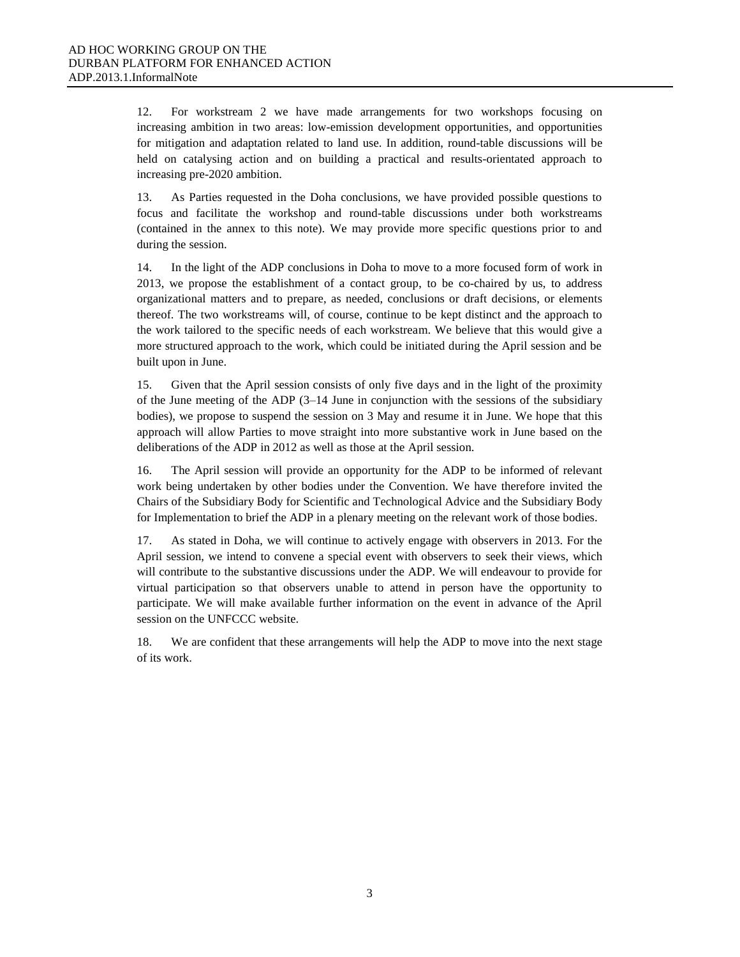12. For workstream 2 we have made arrangements for two workshops focusing on increasing ambition in two areas: low-emission development opportunities, and opportunities for mitigation and adaptation related to land use. In addition, round-table discussions will be held on catalysing action and on building a practical and results-orientated approach to increasing pre-2020 ambition.

13. As Parties requested in the Doha conclusions, we have provided possible questions to focus and facilitate the workshop and round-table discussions under both workstreams (contained in the annex to this note). We may provide more specific questions prior to and during the session.

14. In the light of the ADP conclusions in Doha to move to a more focused form of work in 2013, we propose the establishment of a contact group, to be co-chaired by us, to address organizational matters and to prepare, as needed, conclusions or draft decisions, or elements thereof. The two workstreams will, of course, continue to be kept distinct and the approach to the work tailored to the specific needs of each workstream. We believe that this would give a more structured approach to the work, which could be initiated during the April session and be built upon in June.

15. Given that the April session consists of only five days and in the light of the proximity of the June meeting of the ADP  $(3-14)$  June in conjunction with the sessions of the subsidiary bodies), we propose to suspend the session on 3 May and resume it in June. We hope that this approach will allow Parties to move straight into more substantive work in June based on the deliberations of the ADP in 2012 as well as those at the April session.

16. The April session will provide an opportunity for the ADP to be informed of relevant work being undertaken by other bodies under the Convention. We have therefore invited the Chairs of the Subsidiary Body for Scientific and Technological Advice and the Subsidiary Body for Implementation to brief the ADP in a plenary meeting on the relevant work of those bodies.

17. As stated in Doha, we will continue to actively engage with observers in 2013. For the April session, we intend to convene a special event with observers to seek their views, which will contribute to the substantive discussions under the ADP. We will endeavour to provide for virtual participation so that observers unable to attend in person have the opportunity to participate. We will make available further information on the event in advance of the April session on the UNFCCC website.

18. We are confident that these arrangements will help the ADP to move into the next stage of its work.